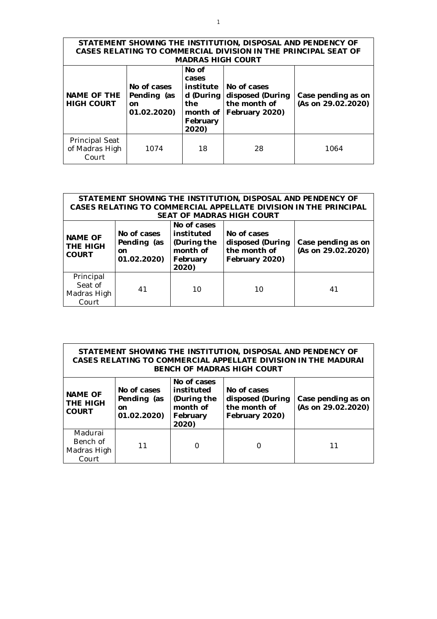| STATEMENT SHOWING THE INSTITUTION, DISPOSAL AND PENDENCY OF<br>CASES RELATING TO COMMERCIAL DIVISION IN THE PRINCIPAL SEAT OF<br><b>MADRAS HIGH COURT</b> |                                                 |                                                                                  |                                                                   |                                          |  |  |  |
|-----------------------------------------------------------------------------------------------------------------------------------------------------------|-------------------------------------------------|----------------------------------------------------------------------------------|-------------------------------------------------------------------|------------------------------------------|--|--|--|
| <b>NAME OF THE</b><br><b>HIGH COURT</b>                                                                                                                   | No of cases<br>Pending (as<br>on<br>01.02.2020) | No of<br>cases<br>institute<br>d (During<br>the<br>month of<br>February<br>2020) | No of cases<br>disposed (During<br>the month of<br>February 2020) | Case pending as on<br>(As on 29.02.2020) |  |  |  |
| <b>Principal Seat</b><br>of Madras High<br>Court                                                                                                          | 1074                                            | 18                                                                               | 28                                                                | 1064                                     |  |  |  |

| STATEMENT SHOWING THE INSTITUTION, DISPOSAL AND PENDENCY OF<br>CASES RELATING TO COMMERCIAL APPELLATE DIVISION IN THE PRINCIPAL<br><b>SEAT OF MADRAS HIGH COURT</b> |                                                            |                                                                           |                                                                   |                                          |  |  |  |
|---------------------------------------------------------------------------------------------------------------------------------------------------------------------|------------------------------------------------------------|---------------------------------------------------------------------------|-------------------------------------------------------------------|------------------------------------------|--|--|--|
| <b>NAME OF</b><br>THE HIGH<br><b>COURT</b>                                                                                                                          | No of cases<br>Pending (as<br><sub>on</sub><br>01.02.2020) | No of cases<br>instituted<br>(During the<br>month of<br>February<br>2020) | No of cases<br>disposed (During<br>the month of<br>February 2020) | Case pending as on<br>(As on 29.02.2020) |  |  |  |
| Principal<br>Seat of<br>Madras High<br>Court                                                                                                                        | 41                                                         | 10                                                                        | 10                                                                | 41                                       |  |  |  |

| STATEMENT SHOWING THE INSTITUTION, DISPOSAL AND PENDENCY OF<br>CASES RELATING TO COMMERCIAL APPELLATE DIVISION IN THE MADURAL<br>BENCH OF MADRAS HIGH COURT |    |                                                                           |                                                                   |                                          |  |  |
|-------------------------------------------------------------------------------------------------------------------------------------------------------------|----|---------------------------------------------------------------------------|-------------------------------------------------------------------|------------------------------------------|--|--|
| No of cases<br><b>NAME OF</b><br>Pending (as<br><b>THE HIGH</b><br><u>on</u><br><b>COURT</b><br>01.02.2020)                                                 |    | No of cases<br>instituted<br>(During the<br>month of<br>February<br>2020) | No of cases<br>disposed (During<br>the month of<br>February 2020) | Case pending as on<br>(As on 29.02.2020) |  |  |
| Madurai<br>Bench of<br>Madras High<br>Court                                                                                                                 | 11 | Ω                                                                         |                                                                   | 11                                       |  |  |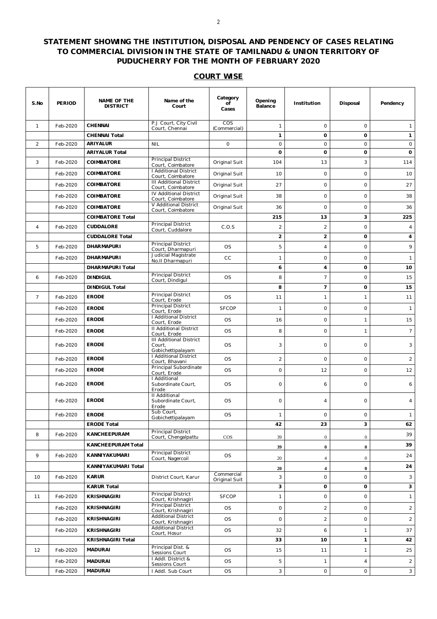## **STATEMENT SHOWING THE INSTITUTION, DISPOSAL AND PENDENCY OF CASES RELATING TO COMMERCIAL DIVISION IN THE STATE OF TAMILNADU & UNION TERRITORY OF PUDUCHERRY FOR THE MONTH OF FEBRUARY 2020**

## **COURT WISE**

| S.No           | <b>PERIOD</b> | <b>NAME OF THE</b><br><b>DISTRICT</b> | Name of the<br>Court                                                          | Category<br>οf<br>Cases | Opening<br>Balance      | Institution    | Disposal         | Pendency       |
|----------------|---------------|---------------------------------------|-------------------------------------------------------------------------------|-------------------------|-------------------------|----------------|------------------|----------------|
| $\mathbf{1}$   | Feb-2020      | <b>CHENNAI</b>                        | P.J Court, City Civil<br>Court, Chennai                                       | COS<br>(Commercial)     | 1                       | $\circ$        | $\circ$          | $\mathbf{1}$   |
|                |               | <b>CHENNAI Total</b>                  |                                                                               |                         | $\mathbf{1}$            | 0              | $\mathbf 0$      | $\mathbf{1}$   |
| 2              | Feb-2020      | <b>ARIYALUR</b>                       | <b>NIL</b>                                                                    | $\circ$                 | 0                       | $\circ$        | $\circ$          | $\mathsf O$    |
|                |               | <b>ARIYALUR Total</b>                 |                                                                               |                         | $\mathbf 0$             | 0              | 0                | 0              |
| 3              | Feb-2020      | COIMBATORE                            | Principal District<br>Court, Coimbatore                                       | Original Suit           | 104                     | 13             | 3                | 114            |
|                | Feb-2020      | COIMBATORE                            | I Additional District<br>Court, Coimbatore                                    | Original Suit           | 10                      | 0              | 0                | 10             |
|                | Feb-2020      | COIMBATORE                            | <b>III Additional District</b><br>Court, Coimbatore                           | Original Suit           | 27                      | $\circ$        | 0                | 27             |
|                | Feb-2020      | COIMBATORE                            | IV Additional District<br>Court, Coimbatore                                   | Original Suit           | 38                      | $\circ$        | $\circ$          | 38             |
|                | Feb-2020      | COIMBATORE                            | V Additional District<br>Court, Coimbatore                                    | Original Suit           | 36                      | $\circ$        | $\circ$          | 36             |
|                |               | <b>COIMBATORE Total</b>               |                                                                               |                         | 215                     | 13             | 3                | 225            |
| $\overline{4}$ | Feb-2020      | <b>CUDDALORE</b>                      | Principal District<br>Court, Cuddalore                                        | C.O.S                   | $\overline{c}$          | 2              | $\circ$          | $\overline{4}$ |
|                |               | <b>CUDDALORE Total</b>                |                                                                               |                         | $\overline{\mathbf{c}}$ | $\overline{2}$ | 0                | 4              |
| 5              | Feb-2020      | <b>DHARMAPURI</b>                     | <b>Principal District</b><br>Court, Dharmapuri                                | OS.                     | 5                       | $\overline{4}$ | $\circ$          | 9              |
|                | Feb-2020      | <b>DHARMAPURI</b>                     | Judicial Magistrate                                                           | cc                      | 1                       | $\circ$        | $\circ$          | $\mathbf{1}$   |
|                |               | <b>DHARMAPURI Total</b>               | No.II Dharmapuri                                                              |                         | 6                       | 4              | $\mathbf 0$      | 10             |
| 6              | Feb-2020      | <b>DINDIGUL</b>                       | Principal District                                                            | OS.                     | 8                       | $\overline{7}$ | $\circ$          | 15             |
|                |               | <b>DINDIGUL Total</b>                 | Court, Dindigul                                                               |                         | 8                       | 7              | 0                | 15             |
| $\overline{7}$ | Feb-2020      | <b>ERODE</b>                          | Principal District                                                            | OS.                     | 11                      | $\mathbf{1}$   | $\mathbf{1}$     | 11             |
|                | Feb-2020      | <b>ERODE</b>                          | Court, Erode<br>Principal District<br>Court, Erode                            | <b>SFCOP</b>            | 1                       | $\circ$        | $\circ$          | $\mathbf{1}$   |
|                | Feb-2020      | <b>ERODE</b>                          | I Additional District                                                         | <b>OS</b>               | 16                      | $\circ$        | 1                | 15             |
|                | Feb-2020      | <b>ERODE</b>                          | Court, Erode<br><b>II Additional District</b>                                 | OS.                     | 8                       | 0              | 1                | 7 <sup>7</sup> |
|                | Feb-2020      | <b>ERODE</b>                          | Court, Erode<br><b>III Additional District</b><br>Court,<br>Gobichettipalayam | OS.                     | 3                       | $\circ$        | $\circ$          | 3              |
|                | Feb-2020      | <b>ERODE</b>                          | I Additional District<br>Court, Bhavani                                       | OS.                     | $\overline{2}$          | $\circ$        | $\circ$          | $\overline{2}$ |
|                | Feb-2020      | <b>ERODE</b>                          | Principal Subordinate                                                         | OS.                     | 0                       | 12             | $\circ$          | 12             |
|                | Feb-2020      | <b>ERODE</b>                          | Court, Erode<br>I Additional<br>Subordinate Court,<br>Erode                   | OS.                     | 0                       | 6              | $\circ$          | 6              |
|                | Feb-2020      | <b>ERODE</b>                          | II Additional<br>Subordinate Court,<br>Erode                                  | OS.                     | 0                       | $\overline{4}$ | 0                | 4              |
|                | Feb-2020      | <b>ERODE</b>                          | Sub Court,<br>Gobichettipalayam                                               | OS.                     | $\mathbf{1}$            | $\circ$        | $\circ$          | $\mathbf{1}$   |
|                |               | <b>ERODE Total</b>                    |                                                                               |                         | 42                      | 23             | 3                | 62             |
| 8              | Feb-2020      | KANCHEEPURAM                          | <b>Principal District</b><br>Court, Chengalpattu                              | $\cos$                  | 39                      | $\mathbf{0}$   | $\boldsymbol{0}$ | 39             |
|                |               | <b>KANCHEEPURAM Total</b>             |                                                                               |                         | 39                      | $\bf{0}$       | $\bf{0}$         | 39             |
| 9              | Feb-2020      | KANNIYAKUMARI                         | Principal District<br>Court, Nagercoil                                        | OS                      | 20                      | $\overline{4}$ | $\mathbf{0}$     | 24             |
|                |               | KANNIYAKUMARI Total                   |                                                                               |                         | 20                      | 4              | $\boldsymbol{0}$ | 24             |
| 10             | Feb-2020      | <b>KARUR</b>                          | District Court, Karur                                                         | Commercial              | 3                       | $\circ$        | 0                | 3              |
|                |               | <b>KARUR Total</b>                    |                                                                               | Original Suit           | 3                       | 0              | 0                | 3              |
| 11             | Feb-2020      | <b>KRISHNAGIRI</b>                    | Principal District                                                            | <b>SFCOP</b>            | 1                       | $\circ$        | 0                | $\mathbf{1}$   |
|                | Feb-2020      | <b>KRISHNAGIRI</b>                    | Court, Krishnagiri<br>Principal District                                      | <b>OS</b>               | 0                       | $\overline{2}$ | 0                | $\overline{a}$ |
|                | Feb-2020      | <b>KRISHNAGIRI</b>                    | Court, Krishnagiri<br><b>Additional District</b>                              | OS.                     | 0                       | $\overline{2}$ | $\circ$          | $\overline{a}$ |
|                | Feb-2020      | <b>KRISHNAGIRI</b>                    | Court, Krishnagiri<br><b>Additional District</b>                              | OS                      | 32                      | 6              | 1                | 37             |
|                |               | <b>KRISHNAGIRI Total</b>              | Court, Hosur                                                                  |                         | 33                      | 10             | 1                | 42             |
| 12             | Feb-2020      | <b>MADURAI</b>                        | Principal Dist. &<br>Sessions Court                                           | OS.                     | 15                      | 11             | $\mathbf{1}$     | 25             |
|                | Feb-2020      | <b>MADURAI</b>                        | I Addl. District &                                                            | OS                      | 5                       | $\mathbf{1}$   | $\overline{4}$   | $\overline{a}$ |
|                | Feb-2020      | <b>MADURAI</b>                        | Sessions Court<br>I Addl. Sub Court                                           | OS.                     | 3                       | $\circ$        | 0                | 3              |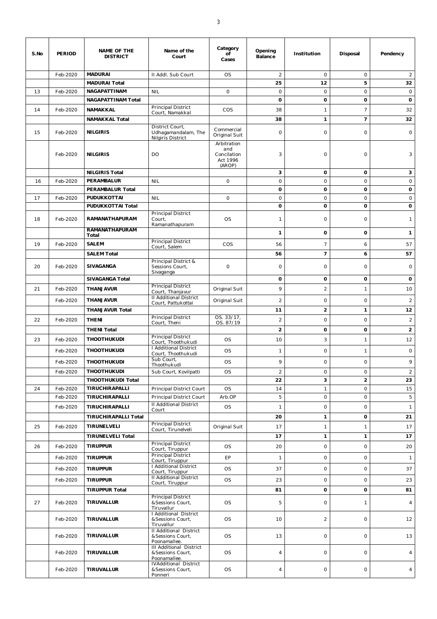| S.No | <b>PERIOD</b> | <b>NAME OF THE</b><br><b>DISTRICT</b> | Name of the<br>Court                                              | Category<br>of<br>Cases                                 | Opening<br>Balance | Institution    | Disposal        | Pendency                |
|------|---------------|---------------------------------------|-------------------------------------------------------------------|---------------------------------------------------------|--------------------|----------------|-----------------|-------------------------|
|      | Feb-2020      | <b>MADURAI</b>                        | II Addl. Sub Court                                                | <b>OS</b>                                               | $\overline{2}$     | $\circ$        | 0               | $\overline{2}$          |
|      |               | <b>MADURAI Total</b>                  |                                                                   |                                                         | 25                 | 12             | 5               | 32                      |
| 13   | Feb-2020      | <b>NAGAPATTINAM</b>                   | <b>NIL</b>                                                        | $\circ$                                                 | $\circ$            | $\circ$        | $\circ$         | $\circ$                 |
|      |               | <b>NAGAPATTINAM Total</b>             |                                                                   |                                                         | o                  | o              | 0               | 0                       |
| 14   | Feb-2020      | NAMAKKAL                              | Principal District<br>Court, Namakkal                             | COS                                                     | 38                 | 1              | $7\overline{ }$ | 32                      |
|      |               | <b>NAMAKKAL Total</b>                 |                                                                   |                                                         | 38                 | 1              | 7               | 32                      |
| 15   | Feb-2020      | <b>NILGIRIS</b>                       | District Court,<br>Udhagamandalam, The<br>Nilgiris District       | Commercial<br>Original Suit                             | 0                  | $\circ$        | $\circ$         | $\circ$                 |
|      | Feb-2020      | <b>NILGIRIS</b>                       | DO                                                                | Arbitration<br>and<br>Concilation<br>Act 1996<br>(AROP) | 3                  | 0              | 0               | 3                       |
|      |               | <b>NILGIRIS Total</b>                 |                                                                   |                                                         | 3                  | 0              | 0               | 3                       |
| 16   | Feb-2020      | PERAMBALUR                            | <b>NIL</b>                                                        | $\circ$                                                 | $\circ$            | $\circ$        | $\circ$         | $\mathsf O$             |
|      |               | PERAMBALUR Total                      |                                                                   |                                                         | 0                  | 0              | 0               | 0                       |
| 17   | Feb-2020      | PUDUKKOTTAI                           | <b>NIL</b>                                                        | 0                                                       | $\circ$            | $\circ$        | $\circ$         | $\circ$                 |
|      |               | PUDUKKOTTAI Total                     | Principal District                                                |                                                         | 0                  | o              | 0               | 0                       |
| 18   | Feb-2020      | RAMANATHAPURAM<br>RAMANATHAPURAM      | Court,<br>Ramanathapuram                                          | <b>OS</b>                                               | 1                  | $\circ$        | 0               | $\mathbf{1}$            |
|      |               | Total                                 |                                                                   |                                                         | 1                  | 0              | 0               | 1                       |
| 19   | Feb-2020      | <b>SALEM</b>                          | Principal District<br>Court, Salem                                | COS                                                     | 56                 | 7              | 6               | 57                      |
|      |               | <b>SALEM Total</b>                    |                                                                   |                                                         | 56                 | $\overline{7}$ | 6               | 57                      |
| 20   | Feb-2020      | SIVAGANGA                             | Principal District &<br>Sessions Court,<br>Sivaganga              | $\circ$                                                 | $\circ$            | $\circ$        | $\circ$         | $\circ$                 |
|      |               | <b>SIVAGANGA Total</b>                |                                                                   |                                                         | o                  | 0              | 0               | 0                       |
| 21   | Feb-2020      | THANJAVUR                             | Principal District<br>Court, Thanjavur                            | Original Suit                                           | 9                  | $\overline{2}$ | 1               | 10                      |
|      | Feb-2020      | THANJAVUR                             | <b>II Additional District</b>                                     | Original Suit                                           | $\overline{c}$     | $\circ$        | 0               | $\overline{a}$          |
|      |               | <b>THANJAVUR Total</b>                | Court, Pattukottai                                                |                                                         | 11                 | $\overline{2}$ | 1               | 12                      |
| 22   | Feb-2020      | <b>THENI</b>                          | Principal District                                                | OS. 33/17,                                              | $\overline{c}$     | $\circ$        | $\circ$         | $\overline{a}$          |
|      |               |                                       | Court, Theni                                                      | OS. 87/19                                               | $\overline{2}$     |                | 0               |                         |
|      |               | <b>THENI Total</b>                    | Principal District                                                |                                                         |                    | 0              |                 | $\overline{\mathbf{c}}$ |
| 23   | Feb-2020      | <b>THOOTHUKUDI</b>                    | Court, Thoothukudi                                                | <b>OS</b>                                               | 10                 | 3              | 1               | 12                      |
|      | Feb-2020      | <b>THOOTHUKUDI</b>                    | I Additional District<br>Court, Thoothukudi                       | <b>OS</b>                                               | $\mathbf{1}$       | 0              | 1               | $\circ$                 |
|      | Feb-2020      | <b>THOOTHUKUDI</b>                    | Sub Court,<br>Thoothukudi                                         | <b>OS</b>                                               | 9                  | $\circ$        | 0               | 9                       |
|      | Feb-2020      | <b>THOOTHUKUDI</b>                    | Sub Court, Kovilpatti                                             | OS                                                      | $\overline{a}$     | 0              | 0               | $\overline{2}$          |
|      |               | <b>THOOTHUKUDI Total</b>              |                                                                   |                                                         | 22                 | 3              | $\overline{2}$  | 23                      |
| 24   | Feb-2020      | TIRUCHIRAPALLI                        | Principal District Court                                          | <b>OS</b>                                               | 14                 | 1              | 0               | 15                      |
|      | Feb-2020      | TIRUCHIRAPALLI                        | Principal District Court                                          | Arb.OP                                                  | 5                  | 0              | $\circ$         | 5                       |
|      | Feb-2020      | TIRUCHIRAPALLI                        | <b>II Additional District</b><br>Court                            | OS                                                      | $\mathbf{1}$       | 0              | 0               | $\mathbf{1}$            |
|      |               | <b>TIRUCHIRAPALLI Total</b>           |                                                                   |                                                         | 20                 | 1              | 0               | 21                      |
| 25   | Feb-2020      | TIRUNELVELI                           | Principal District<br>Court, Tirunelveli                          | Original Suit                                           | 17                 | $\mathbf{1}$   | $\mathbf{1}$    | 17                      |
|      |               | <b>TIRUNELVELI Total</b>              |                                                                   |                                                         | 17                 | 1              | $\mathbf{1}$    | 17                      |
| 26   | Feb-2020      | <b>TIRUPPUR</b>                       | <b>Principal District</b><br>Court, Tiruppur                      | <b>OS</b>                                               | 20                 | $\circ$        | $\circ$         | 20                      |
|      | Feb-2020      | <b>TIRUPPUR</b>                       | <b>Principal District</b>                                         | EP                                                      | $\mathbf{1}$       | $\circ$        | $\circ$         | $\mathbf{1}$            |
|      |               |                                       | Court, Tiruppur<br>I Additional District                          |                                                         |                    |                |                 |                         |
|      | Feb-2020      | <b>TIRUPPUR</b>                       | Court, Tiruppur                                                   | OS                                                      | 37                 | $\circ$        | 0               | 37                      |
|      | Feb-2020      | <b>TIRUPPUR</b>                       | II Additional District<br>Court, Tiruppur                         | <b>OS</b>                                               | 23                 | 0              | $\circ$         | 23                      |
|      |               | <b>TIRUPPUR Total</b>                 |                                                                   |                                                         | 81                 | 0              | 0               | 81                      |
| 27   | Feb-2020      | TIRUVALLUR                            | Principal District<br>&Sessions Court,<br>Tiruvallur              | <b>OS</b>                                               | 5                  | 0              | $\mathbf{1}$    | $\overline{4}$          |
|      | Feb-2020      | TIRUVALLUR                            | I Additional District<br>&Sessions Court,<br>Tiruvallur           | OS                                                      | 10                 | $\overline{a}$ | $\circ$         | 12                      |
|      | Feb-2020      | TIRUVALLUR                            | <b>II Additional District</b><br>&Sessions Court,<br>Poonamallee. | OS                                                      | 13                 | $\circ$        | 0               | 13                      |
|      | Feb-2020      | TIRUVALLUR                            | III Additional District<br>&Sessions Court,<br>Poonamallee.       | OS                                                      | 4                  | 0              | 0               | 4                       |
|      | Feb-2020      | TIRUVALLUR                            | <b>IVAdditional District</b><br>&Sessions Court,<br>Ponneri       | OS                                                      | 4                  | 0              | 0               | $\overline{4}$          |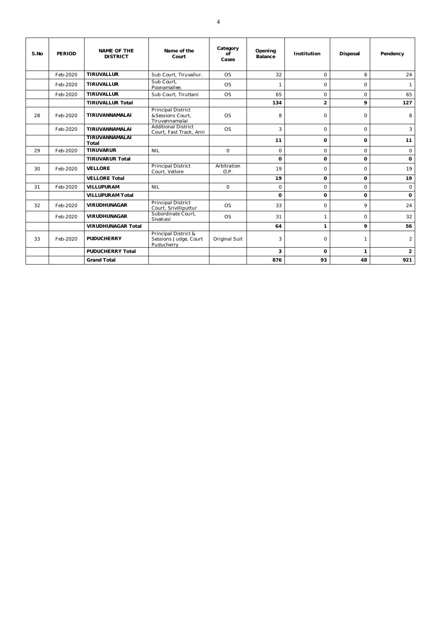| S.No | PERIOD   | <b>NAME OF THE</b><br><b>DISTRICT</b> | Name of the<br>Court                                            | Category<br>Οf<br>Cases | Opening<br>Balance | Institution    | Disposal     | Pendency       |
|------|----------|---------------------------------------|-----------------------------------------------------------------|-------------------------|--------------------|----------------|--------------|----------------|
|      | Feb-2020 | <b>TIRUVALLUR</b>                     | Sub Court. Tiruvallur.                                          | <b>OS</b>               | 32                 | $\Omega$       | 8            | 24             |
|      | Feb-2020 | <b>TIRUVALLUR</b>                     | Sub Court.<br>Poonamallee.                                      | <b>OS</b>               | 1                  | $\Omega$       | $\Omega$     | 1              |
|      | Feb-2020 | <b>TIRUVALLUR</b>                     | Sub Court. Tiruttani                                            | <b>OS</b>               | 65                 | $\Omega$       | 0            | 65             |
|      |          | <b>TIRUVALLUR Total</b>               |                                                                 |                         | 134                | $\overline{2}$ | 9            | 127            |
| 28   | Feb-2020 | TIRUVANNAMALAI                        | <b>Principal District</b><br>&Sessions Court,<br>Tiruvannamalai | <b>OS</b>               | 8                  | $\Omega$       | $\circ$      | 8              |
|      | Feb-2020 | TIRUVANNAMALAI                        | <b>Additional District</b><br>Court, Fast Track, Arni           | <b>OS</b>               | 3                  | $\Omega$       | $\circ$      | 3              |
|      |          | TIRUVANNAMALAI<br>Total               |                                                                 |                         | 11                 | 0              | 0            | 11             |
| 29   | Feb-2020 | <b>TIRUVARUR</b>                      | <b>NIL</b>                                                      | $\Omega$                | $\Omega$           | $\Omega$       | $\Omega$     | $\circ$        |
|      |          | <b>TIRUVARUR Total</b>                |                                                                 |                         | $\Omega$           | 0              | 0            | $\mathbf 0$    |
| 30   | Feb-2020 | <b>VELLORE</b>                        | Principal District<br>Court, Vellore                            | Arbitration<br>O.P.     | 19                 | $\Omega$       | $\Omega$     | 19             |
|      |          | <b>VELLORE Total</b>                  |                                                                 |                         | 19                 | 0              | 0            | 19             |
| 31   | Feb-2020 | <b>VILLUPURAM</b>                     | <b>NIL</b>                                                      | $\Omega$                | $\Omega$           | $\Omega$       | $\Omega$     | $\circ$        |
|      |          | <b>VILLUPURAM Total</b>               |                                                                 |                         | 0                  | $\Omega$       | 0            | 0              |
| 32   | Feb-2020 | <b>VIRUDHUNAGAR</b>                   | <b>Principal District</b><br>Court, Srivilliputtur              | <b>OS</b>               | 33                 | $\circ$        | 9            | 24             |
|      | Feb-2020 | <b>VIRUDHUNAGAR</b>                   | Subordinate Court,<br>Sivakasi                                  | <b>OS</b>               | 31                 | $\mathbf{1}$   | $\Omega$     | 32             |
|      |          | <b>VIRUDHUNAGAR Total</b>             |                                                                 |                         | 64                 | $\mathbf{1}$   | 9            | 56             |
| 33   | Feb-2020 | <b>PUDUCHERRY</b>                     | Principal District &<br>Sessions Judge, Court<br>Puducherry     | Original Suit           | 3                  | $\Omega$       | $\mathbf{1}$ | $\overline{2}$ |
|      |          | <b>PUDUCHERRY Total</b>               |                                                                 |                         | 3                  | $\Omega$       | 1            | $\overline{2}$ |
|      |          | <b>Grand Total</b>                    |                                                                 |                         | 876                | 93             | 48           | 921            |